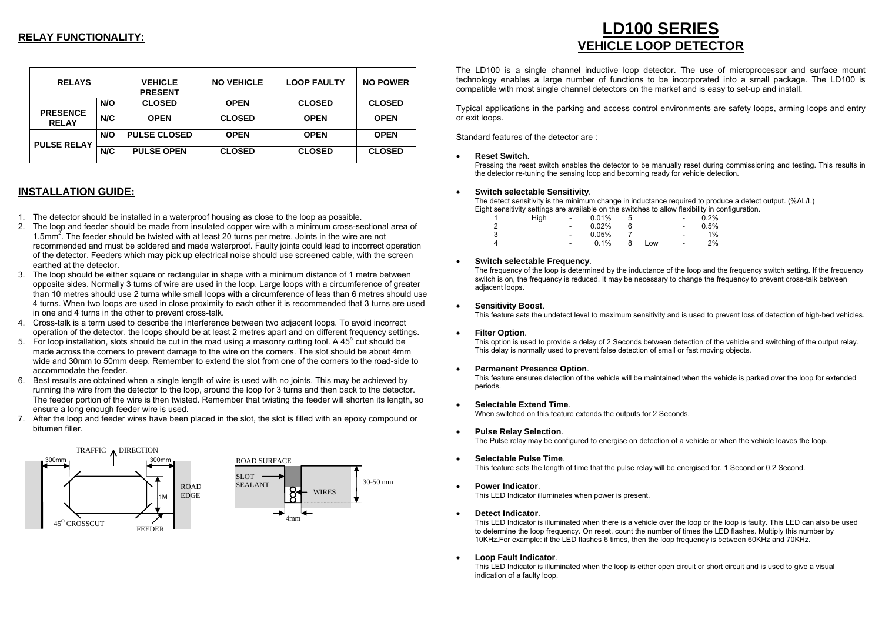# **RELAY FUNCTIONALITY:**

| <b>RELAYS</b>                   |     | <b>VEHICLE</b><br><b>PRESENT</b> | <b>NO VEHICLE</b> | <b>LOOP FAULTY</b> | <b>NO POWER</b> |
|---------------------------------|-----|----------------------------------|-------------------|--------------------|-----------------|
|                                 | N/O | <b>CLOSED</b>                    | <b>OPEN</b>       | <b>CLOSED</b>      | <b>CLOSED</b>   |
| <b>PRESENCE</b><br><b>RELAY</b> | N/C | <b>OPEN</b>                      | <b>CLOSED</b>     | <b>OPEN</b>        | <b>OPEN</b>     |
| <b>PULSE RELAY</b>              | N/O | <b>PULSE CLOSED</b>              | <b>OPEN</b>       | <b>OPEN</b>        | <b>OPEN</b>     |
|                                 | N/C | <b>PULSE OPEN</b>                | <b>CLOSED</b>     | <b>CLOSED</b>      | <b>CLOSED</b>   |

# **INSTALLATION GUIDE:**

- 1. The detector should be installed in a waterproof housing as close to the loop as possible.
- 2. The loop and feeder should be made from insulated copper wire with a minimum cross-sectional area of 1.5mm2. The feeder should be twisted with at least 20 turns per metre. Joints in the wire are not recommended and must be soldered and made waterproof. Faulty joints could lead to incorrect operation of the detector. Feeders which may pick up electrical noise should use screened cable, with the screen earthed at the detector.
- 3. The loop should be either square or rectangular in shape with a minimum distance of 1 metre between opposite sides. Normally 3 turns of wire are used in the loop. Large loops with a circumference of greater than 10 metres should use 2 turns while small loops with a circumference of less than 6 metres should use 4 turns. When two loops are used in close proximity to each other it is recommended that 3 turns are used in one and 4 turns in the other to prevent cross-talk.
- 4. Cross-talk is a term used to describe the interference between two adjacent loops. To avoid incorrect operation of the detector, the loops should be at least 2 metres apart and on different frequency settings.
- 5. For loop installation, slots should be cut in the road using a masonry cutting tool. A 45 $^{\circ}$  cut should be made across the corners to prevent damage to the wire on the corners. The slot should be about 4mm wide and 30mm to 50mm deep. Remember to extend the slot from one of the corners to the road-side to accommodate the feeder.
- 6. Best results are obtained when a single length of wire is used with no joints. This may be achieved by running the wire from the detector to the loop, around the loop for 3 turns and then back to the detector. The feeder portion of the wire is then twisted. Remember that twisting the feeder will shorten its length, so ensure a long enough feeder wire is used.
- 7. After the loop and feeder wires have been placed in the slot, the slot is filled with an epoxy compound or bitumen filler.



# **LD100 SERIES VEHICLE LOOP DETECTOR**

The LD100 is a single channel inductive loop detector. The use of microprocessor and surface mount technology enables a large number of functions to be incorporated into a small package. The LD100 is compatible with most single channel detectors on the market and is easy to set-up and install.

Typical applications in the parking and access control environments are safety loops, arming loops and entry or exit loops.

Standard features of the detector are :

## • **Reset Switch**.

Pressing the reset switch enables the detector to be manually reset during commissioning and testing. This results in the detector re-tuning the sensing loop and becoming ready for vehicle detection.

## • **Switch selectable Sensitivity**.

The detect sensitivity is the minimum change in inductance required to produce a detect output. (% ∆L/L) Eight sensitivity settings are available on the switches to allo w flexibility in configuration.

|                | High | $\sim$ | 0.01%    |     | $\overline{\phantom{a}}$     | 0.2% |
|----------------|------|--------|----------|-----|------------------------------|------|
| $\overline{2}$ |      | ٠      | $0.02\%$ |     | $\overline{\phantom{a}}$     | 0.5% |
| -3             |      | ۰.     | 0.05%    |     | $\qquad \qquad \blacksquare$ | 1%   |
| Δ              |      | ٠      | 0.1%     | Low | $\qquad \qquad \blacksquare$ | 2%   |

## • **Switch selectable Frequency**.

The frequency of the loop is determined by the inductance of the loop and the frequency switch setting. If the frequency switch is on, the frequency is reduced. It may be necessary to change the frequency to prevent cross-talk between adjacent loops.

#### • **Sensitivity Boost**.

This feature sets the undetect level to maximum sensitivity and is used to prevent loss of detection of high-bed vehicles.

#### • **Filter Option**.

This option is used to provide a delay of 2 Seconds between detection of the vehicle and switching of the output relay. This delay is normally used to prevent false detection of small or fast moving objects.

#### • **Permanent Presence Option**.

This feature ensures detection of the vehicle will be maintained when the vehicle is parked over the loop for extended periods.

## • **Selectable Extend Time**.

When switched on this feature extends the outputs for 2 Seconds.

• **Pulse Relay Selection**.

The Pulse relay may be configured to energise on detection of a vehicle or when the vehicle leaves the loop.

- **Selectable Pulse Time**. This feature sets the length of time that the pulse relay will be energised for. 1 Second or 0.2 Second.
- **Power Indicator**.

This LED Indicator illuminates when power is present.

• **Detect Indicator**.

 This LED Indicator is illuminated when there is a vehicle over the loop or the loop is faulty. This LED can also be used to determine the loop frequency. On reset, count the number of times the LED flashes. Multiply this number by 10KHz.For example: if the LED flashes 6 times, then the loop frequency is between 60KHz and 70KHz.

## • **Loop Fault Indicator**.

This LED Indicator is illuminated when the loop is either open circuit or short circuit and is used to give a visual indication of a faulty loop.